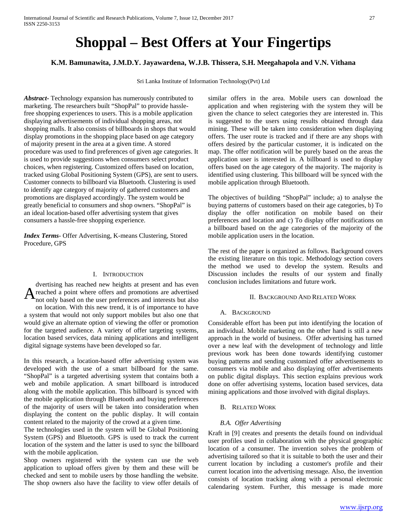# **Shoppal – Best Offers at Your Fingertips**

# **K.M. Bamunawita, J.M.D.Y. Jayawardena, W.J.B. Thissera, S.H. Meegahapola and V.N. Vithana**

Sri Lanka Institute of Information Technology(Pvt) Ltd

*Abstract***-** Technology expansion has numerously contributed to marketing. The researchers built "ShopPal" to provide hasslefree shopping experiences to users. This is a mobile application displaying advertisements of individual shopping areas, not shopping malls. It also consists of billboards in shops that would display promotions in the shopping place based on age category of majority present in the area at a given time. A stored procedure was used to find preferences of given age categories. It is used to provide suggestions when consumers select product choices, when registering. Customized offers based on location, tracked using Global Positioning System (GPS), are sent to users. Customer connects to billboard via Bluetooth. Clustering is used to identify age category of majority of gathered customers and promotions are displayed accordingly. The system would be greatly beneficial to consumers and shop owners. "ShopPal" is an ideal location-based offer advertising system that gives consumers a hassle-free shopping experience.

*Index Terms*- Offer Advertising, K-means Clustering, Stored Procedure, GPS

## I. INTRODUCTION

dvertising has reached new heights at present and has even reached a point where offers and promotions are advertised A reached a point where offers and promotions are advertised<br>hot only based on the user preferences and interests but also

on location. With this new trend, it is of importance to have a system that would not only support mobiles but also one that would give an alternate option of viewing the offer or promotion for the targeted audience. A variety of offer targeting systems, location based services, data mining applications and intelligent digital signage systems have been developed so far.

In this research, a location-based offer advertising system was developed with the use of a smart billboard for the same. "ShopPal" is a targeted advertising system that contains both a web and mobile application. A smart billboard is introduced along with the mobile application. This billboard is synced with the mobile application through Bluetooth and buying preferences of the majority of users will be taken into consideration when displaying the content on the public display. It will contain content related to the majority of the crowd at a given time.

The technologies used in the system will be Global Positioning System (GPS) and Bluetooth. GPS is used to track the current location of the system and the latter is used to sync the billboard with the mobile application.

Shop owners registered with the system can use the web application to upload offers given by them and these will be checked and sent to mobile users by those handling the website. The shop owners also have the facility to view offer details of similar offers in the area. Mobile users can download the application and when registering with the system they will be given the chance to select categories they are interested in. This is suggested to the users using results obtained through data mining. These will be taken into consideration when displaying offers. The user route is tracked and if there are any shops with offers desired by the particular customer, it is indicated on the map. The offer notification will be purely based on the areas the application user is interested in. A billboard is used to display offers based on the age category of the majority. The majority is identified using clustering. This billboard will be synced with the mobile application through Bluetooth.

The objectives of building "ShopPal" include; a) to analyse the buying patterns of customers based on their age categories, b) To display the offer notification on mobile based on their preferences and location and c) To display offer notifications on a billboard based on the age categories of the majority of the mobile application users in the location.

The rest of the paper is organized as follows. Background covers the existing literature on this topic. Methodology section covers the method we used to develop the system. Results and Discussion includes the results of our system and finally conclusion includes limitations and future work.

## II. BACKGROUND AND RELATED WORK

#### A. BACKGROUND

Considerable effort has been put into identifying the location of an individual. Mobile marketing on the other hand is still a new approach in the world of business. Offer advertising has turned over a new leaf with the development of technology and little previous work has been done towards identifying customer buying patterns and sending customized offer advertisements to consumers via mobile and also displaying offer advertisements on public digital displays. This section explains previous work done on offer advertising systems, location based services, data mining applications and those involved with digital displays.

#### B. RELATED WORK

## *B.A. Offer Advertising*

Kraft in [9] creates and presents the details found on individual user profiles used in collaboration with the physical geographic location of a consumer. The invention solves the problem of advertising tailored so that it is suitable to both the user and their current location by including a customer's profile and their current location into the advertising message. Also, the invention consists of location tracking along with a personal electronic calendaring system. Further, this message is made more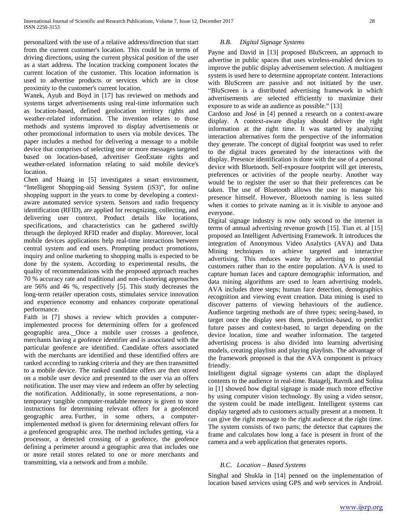personalized with the use of a relative address/direction that start from the current customer's location. This could be in terms of driving directions, using the current physical position of the user as a start address. The location tracking component locates the current location of the customer. This location information is used to advertise products or services which are in close proximity to the customer's current location.

Wanek, Ayub and Boyd in [17] has reviewed on methods and systems target advertisements using real-time information such as location-based, defined geolocation territory rights and weather-related information. The invention relates to those methods and systems improved to display advertisements or other promotional information to users via mobile devices. The paper includes a method for delivering a message to a mobile device that comprises of selecting one or more messages targeted based on location-based, advertiser GeoEstate rights and weather-related information relating to said mobile device's location.

Chen and Huang in [5] investigates a smart environment, "Intelligent Shopping-aid Sensing System (iS3)", for online shopping support in the years to come by developing a contextaware automated service system. Sensors and radio frequency identification (RFID), are applied for recognizing, collecting, and delivering user context. Product details like locations, specifications, and characteristics can be gathered swiftly through the deployed RFID reader and display. Moreover, local mobile devices applications help real-time interactions between central system and end users. Prompting product promotions, inquiry and online marketing to shopping malls is expected to be done by the system. According to experimental results, the quality of recommendations with the proposed approach reaches 70 % accuracy rate and traditional and non-clustering approaches are 56% and 46 %, respectively [5]. This study decreases the long-term retailer operation costs, stimulates service innovation and experience economy and enhances corporate operational performance.

Faith in [7] shows a review which provides a computerimplemented process for determining offers for a geofenced geographic area. Once a mobile user crosses a geofence, merchants having a geofence identifier and is associated with the particular geofence are identified. Candidate offers associated with the merchants are identified and these identified offers are ranked according to ranking criteria and they are then transmitted to a mobile device. The ranked candidate offers are then stored on a mobile user device and presented to the user via an offers notification. The user may view and redeem an offer by selecting the notification. Additionally, in some representations, a nontemporary tangible computer-readable memory is given to store instructions for determining relevant offers for a geofenced geographic area. Further, in some others, a computerimplemented method is given for determining relevant offers for a geofenced geographic area. The method includes getting, via a processor, a detected crossing of a geofence, the geofence defining a perimeter around a geographic area that includes one or more retail stores related to one or more merchants and transmitting, via a network and from a mobile.

### *B.B. Digital Signage Systems*

Payne and David in [13] proposed BluScreen, an approach to advertise in public spaces that uses wireless-enabled devices to improve the public display advertisement selection. A multiagent system is used here to determine appropriate content. Interactions with BluScreen are passive and not initiated by the user. "BluScreen is a distributed advertising framework in which advertisements are selected efficiently to maximize their exposure to as wide an audience as possible." [13]

Cardoso and José in [4] penned a research on a context-aware display. A context-aware display should deliver the right information at the right time. It was started by analyzing interaction alternatives form the perspective of the information they generate. The concept of digital footprint was used to refer to the digital traces generated by the interactions with the display. Presence identification is done with the use of a personal device with Bluetooth. Self-exposure footprint will get interests, preferences or activities of the people nearby. Another way would be to register the user so that their preferences can be taken. The use of Bluetooth allows the user to manage his presence himself. However, Bluetooth naming is less suited when it comes to private naming as it is visible to anyone and everyone.

Digital signage industry is now only second to the internet in terms of annual advertising revenue growth [15]. Tian et. al [15] proposed an Intelligent Advertising Framework. It introduces the integration of Anonymous Video Analytics (AVA) and Data Mining techniques to achieve targeted and interactive advertising. This reduces waste by advertising to potential customers rather than to the entire population. AVA is used to capture human faces and capture demographic information, and data mining algorithms are used to learn advertising models. AVA includes three steps; human face detection, demographics recognition and viewing event creation. Data mining is used to discover patterns of viewing behaviours of the audience. Audience targeting methods are of three types; seeing-based, to target once the display sees them, prediction-based, to predict future passes and context-based, to target depending on the device location, time and weather information. The targeted advertising process is also divided into learning advertising models, creating playlists and playing playlists. The advantage of the framework proposed is that the AVA component is privacy friendly.

Intelligent digital signage systems can adapt the displayed contents to the audience in real-time. Batagelj, Ravnik and Solina in [1] showed how digital signage is made much more effective by using computer vision technology. By using a video sensor, the system could be made intelligent. Intelligent systems can display targeted ads to customers actually present at a moment. It can give the right message to the right audience at the right time. The system consists of two parts; the detector that captures the frame and calculates how long a face is present in front of the camera and a web application that generates reports.

## *B.C. Location – Based Systems*

Singhal and Shukla in [14] penned on the implementation of location based services using GPS and web services in Android.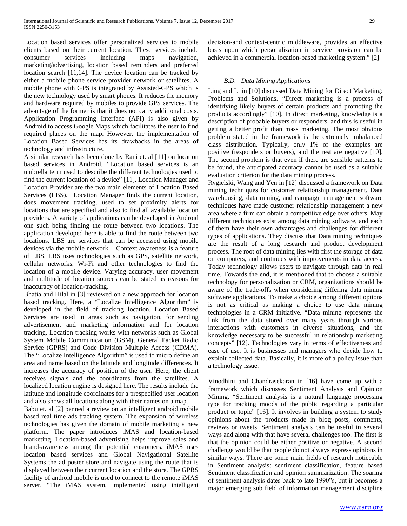Location based services offer personalized services to mobile clients based on their current location. These services include consumer services including maps navigation, marketing/advertising, location based reminders and preferred location search [11,14]. The device location can be tracked by either a mobile phone service provider network or satellites. A mobile phone with GPS is integrated by Assisted-GPS which is the new technology used by smart phones. It reduces the memory and hardware required by mobiles to provide GPS services. The advantage of the former is that it does not carry additional costs. Application Programming Interface (API) is also given by Android to access Google Maps which facilitates the user to find required places on the map. However, the implementation of Location Based Services has its drawbacks in the areas of technology and infrastructure.

A similar research has been done by Rani et. al [11] on location based services in Android. "Location based services is an umbrella term used to describe the different technologies used to find the current location of a device" [11]. Location Manager and Location Provider are the two main elements of Location Based Services (LBS). Location Manager finds the current location, does movement tracking, used to set proximity alerts for locations that are specified and also to find all available location providers. A variety of applications can be developed in Android one such being finding the route between two locations. The application developed here is able to find the route between two locations. LBS are services that can be accessed using mobile devices via the mobile network. Context awareness is a feature of LBS. LBS uses technologies such as GPS, satellite network, cellular networks, Wi-Fi and other technologies to find the location of a mobile device. Varying accuracy, user movement and multitude of location sources can be stated as reasons for inaccuracy of location-tracking.

Bhatia and Hilal in [3] reviewed on a new approach for location based tracking. Here, a "Localize Intelligence Algorithm" is developed in the field of tracking location. Location Based Services are used in areas such as navigation, for sending advertisement and marketing information and for location tracking. Location tracking works with networks such as Global System Mobile Communication (GSM), General Packet Radio Service (GPRS) and Code Division Multiple Access (CDMA). The "Localize Intelligence Algorithm" is used to micro define an area and name based on the latitude and longitude differences. It increases the accuracy of position of the user. Here, the client receives signals and the coordinates from the satellites. A localized location engine is designed here. The results include the latitude and longitude coordinates for a prespecified user location and also shows all locations along with their names on a map.

Babu et. al [2] penned a review on an intelligent android mobile based real time ads tracking system. The expansion of wireless technologies has given the domain of mobile marketing a new platform. The paper introduces iMAS and location-based marketing. Location-based advertising helps improve sales and brand-awareness among the potential customers. iMAS uses location based services and Global Navigational Satellite Systems the ad poster store and navigate using the route that is displayed between their current location and the store. The GPRS facility of android mobile is used to connect to the remote iMAS server. "The iMAS system, implemented using intelligent decision-and context-centric middleware, provides an effective basis upon which personalization in service provision can be achieved in a commercial location-based marketing system." [2]

## *B.D. Data Mining Applications*

Ling and Li in [10] discussed Data Mining for Direct Marketing: Problems and Solutions. "Direct marketing is a process of identifying likely buyers of certain products and promoting the products accordingly" [10]. In direct marketing, knowledge is a description of probable buyers or responders, and this is useful in getting a better profit than mass marketing. The most obvious problem stated in the framework is the extremely imbalanced class distribution. Typically, only 1% of the examples are positive (responders or buyers), and the rest are negative [10]. The second problem is that even if there are sensible patterns to be found, the anticipated accuracy cannot be used as a suitable evaluation criterion for the data mining process.

Rygielski, Wang and Yen in [12] discussed a framework on Data mining techniques for customer relationship management. Data warehousing, data mining, and campaign management software techniques have made customer relationship management a new area where a firm can obtain a competitive edge over others. May different techniques exist among data mining software, and each of them have their own advantages and challenges for different types of applications. They discuss that Data mining techniques are the result of a long research and product development process. The root of data mining lies with first the storage of data on computers, and continues with improvements in data access. Today technology allows users to navigate through data in real time. Towards the end, it is mentioned that to choose a suitable technology for personalization or CRM, organizations should be aware of the trade-offs when considering differing data mining software applications. To make a choice among different options is not as critical as making a choice to use data mining technologies in a CRM initiative. "Data mining represents the link from the data stored over many years through various interactions with customers in diverse situations, and the knowledge necessary to be successful in relationship marketing concepts" [12]. Technologies vary in terms of effectiveness and ease of use. It is businesses and managers who decide how to exploit collected data. Basically, it is more of a policy issue than a technology issue.

Vinodhini and Chandrasekaran in [16] have come up with a framework which discusses Sentiment Analysis and Opinion Mining. "Sentiment analysis is a natural language processing type for tracking moods of the public regarding a particular product or topic" [16]. It involves in building a system to study opinions about the products made in blog posts, comments, reviews or tweets. Sentiment analysis can be useful in several ways and along with that have several challenges too. The first is that the opinion could be either positive or negative. A second challenge would be that people do not always express opinions in similar ways. There are some main fields of research noticeable in Sentiment analysis: sentiment classification, feature based Sentiment classification and opinion summarization. The soaring of sentiment analysis dates back to late 1990"s, but it becomes a major emerging sub field of information management discipline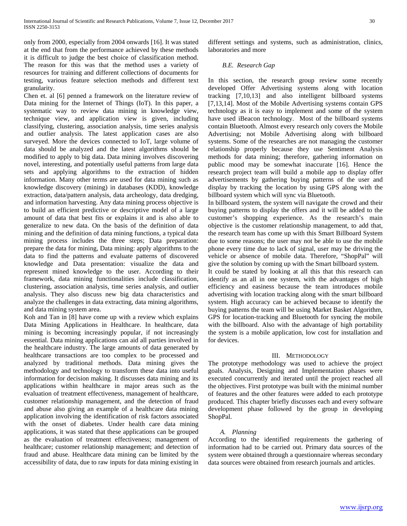only from 2000, especially from 2004 onwards [16]. It was stated at the end that from the performance achieved by these methods it is difficult to judge the best choice of classification method. The reason for this was that the method uses a variety of resources for training and different collections of documents for testing, various feature selection methods and different text granularity.

Chen et. al [6] penned a framework on the literature review of Data mining for the Internet of Things (IoT). In this paper, a systematic way to review data mining in knowledge view, technique view, and application view is given, including classifying, clustering, association analysis, time series analysis and outlier analysis. The latest application cases are also surveyed. More the devices connected to IoT, large volume of data should be analyzed and the latest algorithms should be modified to apply to big data. Data mining involves discovering novel, interesting, and potentially useful patterns from large data sets and applying algorithms to the extraction of hidden information. Many other terms are used for data mining such as knowledge discovery (mining) in databases (KDD), knowledge extraction, data/pattern analysis, data archeology, data dredging, and information harvesting. Any data mining process objective is to build an efficient predictive or descriptive model of a large amount of data that best fits or explains it and is also able to generalize to new data. On the basis of the definition of data mining and the definition of data mining functions, a typical data mining process includes the three steps; Data preparation: prepare the data for mining, Data mining: apply algorithms to the data to find the patterns and evaluate patterns of discovered knowledge and Data presentation: visualize the data and represent mined knowledge to the user. According to their framework, data mining functionalities include classification, clustering, association analysis, time series analysis, and outlier analysis. They also discuss new big data characteristics and analyze the challenges in data extracting, data mining algorithms, and data mining system area.

Koh and Tan in [8] have come up with a review which explains Data Mining Applications in Healthcare. In healthcare, data mining is becoming increasingly popular, if not increasingly essential. Data mining applications can aid all parties involved in the healthcare industry. The large amounts of data generated by healthcare transactions are too complex to be processed and analyzed by traditional methods. Data mining gives the methodology and technology to transform these data into useful information for decision making. It discusses data mining and its applications within healthcare in major areas such as the evaluation of treatment effectiveness, management of healthcare, customer relationship management, and the detection of fraud and abuse also giving an example of a healthcare data mining application involving the identification of risk factors associated with the onset of diabetes. Under health care data mining applications, it was stated that these applications can be grouped as the evaluation of treatment effectiveness; management of healthcare; customer relationship management; and detection of fraud and abuse. Healthcare data mining can be limited by the accessibility of data, due to raw inputs for data mining existing in different settings and systems, such as administration, clinics, laboratories and more

## *B.E. Research Gap*

In this section, the research group review some recently developed Offer Advertising systems along with location tracking [7,10,13] and also intelligent billboard systems [7,13,14]. Most of the Mobile Advertising systems contain GPS technology as it is easy to implement and some of the system have used iBeacon technology. Most of the billboard systems contain Bluetooth. Almost every research only covers the Mobile Advertising; not Mobile Advertising along with billboard systems. Some of the researches are not managing the customer relationship properly because they use Sentiment Analysis methods for data mining; therefore, gathering information on public mood may be somewhat inaccurate [16]. Hence the research project team will build a mobile app to display offer advertisements by gathering buying patterns of the user and display by tracking the location by using GPS along with the billboard system which will sync via Bluetooth.

In billboard system, the system will navigate the crowd and their buying patterns to display the offers and it will be added to the customer's shopping experience. As the research's main objective is the customer relationship management, to add that, the research team has come up with this Smart Billboard System due to some reasons; the user may not be able to use the mobile phone every time due to lack of signal, user may be driving the vehicle or absence of mobile data. Therefore, "ShopPal" will give the solution by coming up with the Smart billboard system.

It could be stated by looking at all this that this research can identify as an all in one system, with the advantages of high efficiency and easiness because the team introduces mobile advertising with location tracking along with the smart billboard system. High accuracy can be achieved because to identify the buying patterns the team will be using Market Basket Algorithm, GPS for location-tracking and Bluetooth for syncing the mobile with the billboard. Also with the advantage of high portability the system is a mobile application, low cost for installation and for devices.

#### III. METHODOLOGY

The prototype methodology was used to achieve the project goals. Analysis, Designing and Implementation phases were executed concurrently and iterated until the project reached all the objectives. First prototype was built with the minimal number of features and the other features were added to each prototype produced. This chapter briefly discusses each and every software development phase followed by the group in developing ShopPal.

#### *A. Planning*

According to the identified requirements the gathering of information had to be carried out. Primary data sources of the system were obtained through a questionnaire whereas secondary data sources were obtained from research journals and articles.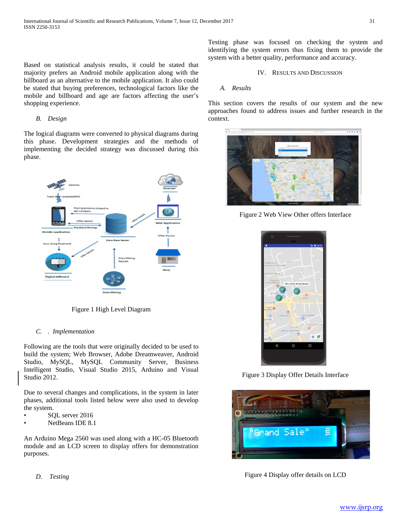Based on statistical analysis results, it could be stated that majority prefers an Android mobile application along with the billboard as an alternative to the mobile application. It also could be stated that buying preferences, technological factors like the mobile and billboard and age are factors affecting the user's shopping experience.

#### *B. Design*

The logical diagrams were converted to physical diagrams during this phase. Development strategies and the methods of implementing the decided strategy was discussed during this phase.



Figure 1 High Level Diagram

#### *C. . Implementation*

Following are the tools that were originally decided to be used to build the system; Web Browser, Adobe Dreamweaver, Android Studio, MySQL, MySQL Community Server, Business Intelligent Studio, Visual Studio 2015, Arduino and Visual Studio 2012.

Due to several changes and complications, in the system in later phases, additional tools listed below were also used to develop the system.

- SQL server 2016
- NetBeans IDE 8.1

An Arduino Mega 2560 was used along with a HC-05 Bluetooth module and an LCD screen to display offers for demonstration purposes.

*D. Testing*

Testing phase was focused on checking the system and identifying the system errors thus fixing them to provide the system with a better quality, performance and accuracy.

IV. RESULTS AND DISCUSSION

#### *A. Results*

This section covers the results of our system and the new approaches found to address issues and further research in the context.



Figure 2 Web View Other offers Interface



Figure 3 Display Offer Details Interface



Figure 4 Display offer details on LCD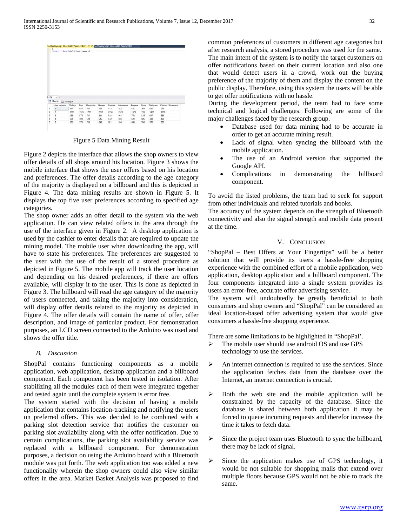

Figure 5 Data Mining Result

Figure 2 depicts the interface that allows the shop owners to view offer details of all shops around his location. Figure 3 shows the mobile interface that shows the user offers based on his location and preferences. The offer details according to the age category of the majority is displayed on a billboard and this is depicted in Figure 4. The data mining results are shown in Figure 5. It displays the top five user preferences according to specified age categories.

The shop owner adds an offer detail to the system via the web application. He can view related offers in the area through the use of the interface given in Figure 2. A desktop application is used by the cashier to enter details that are required to update the mining model. The mobile user when downloading the app, will have to state his preferences. The preferences are suggested to the user with the use of the result of a stored procedure as depicted in Figure 5. The mobile app will track the user location and depending on his desired preferences, if there are offers available, will display it to the user. This is done as depicted in Figure 3. The billboard will read the age category of the majority of users connected, and taking the majority into consideration, will display offer details related to the majority as depicted in Figure 4. The offer details will contain the name of offer, offer description, and image of particular product. For demonstration purposes, an LCD screen connected to the Arduino was used and shows the offer title.

## *B. Discussion*

ShopPal contains functioning components as a mobile application, web application, desktop application and a billboard component. Each component has been tested in isolation. After stabilizing all the modules each of them were integrated together and tested again until the complete system is error free.

The system started with the decision of having a mobile application that contains location-tracking and notifying the users on preferred offers. This was decided to be combined with a parking slot detection service that notifies the customer on parking slot availability along with the offer notification. Due to certain complications, the parking slot availability service was replaced with a billboard component. For demonstration purposes, a decision on using the Arduino board with a Bluetooth module was put forth. The web application too was added a new functionality wherein the shop owners could also view similar offers in the area. Market Basket Analysis was proposed to find common preferences of customers in different age categories but after research analysis, a stored procedure was used for the same. The main intent of the system is to notify the target customers on offer notifications based on their current location and also one that would detect users in a crowd, work out the buying preference of the majority of them and display the content on the public display. Therefore, using this system the users will be able to get offer notifications with no hassle.

During the development period, the team had to face some technical and logical challenges. Following are some of the major challenges faced by the research group.

- Database used for data mining had to be accurate in order to get an accurate mining result.
- Lack of signal when syncing the billboard with the mobile application.
- The use of an Android version that supported the Google API.
- Complications in demonstrating the billboard component.

To avoid the listed problems, the team had to seek for support from other individuals and related tutorials and books.

The accuracy of the system depends on the strength of Bluetooth connectivity and also the signal strength and mobile data present at the time.

## V. CONCLUSION

"ShopPal – Best Offers at Your Fingertips" will be a better solution that will provide its users a hassle-free shopping experience with the combined effort of a mobile application, web application, desktop application and a billboard component. The four components integrated into a single system provides its users an error-free, accurate offer advertising service.

The system will undoubtedly be greatly beneficial to both consumers and shop owners and "ShopPal" can be considered an ideal location-based offer advertising system that would give consumers a hassle-free shopping experience.

There are some limitations to be highlighted in "ShopPal'.

- $\triangleright$  The mobile user should use android OS and use GPS technology to use the services.
- $\triangleright$  An internet connection is required to use the services. Since the application fetches data from the database over the Internet, an internet connection is crucial.
- $\triangleright$  Both the web site and the mobile application will be constrained by the capacity of the database. Since the database is shared between both application it may be forced to queue incoming requests and therefor increase the time it takes to fetch data.
- $\triangleright$  Since the project team uses Bluetooth to sync the billboard, there may be lack of signal.
- $\triangleright$  Since the application makes use of GPS technology, it would be not suitable for shopping malls that extend over multiple floors because GPS would not be able to track the same.